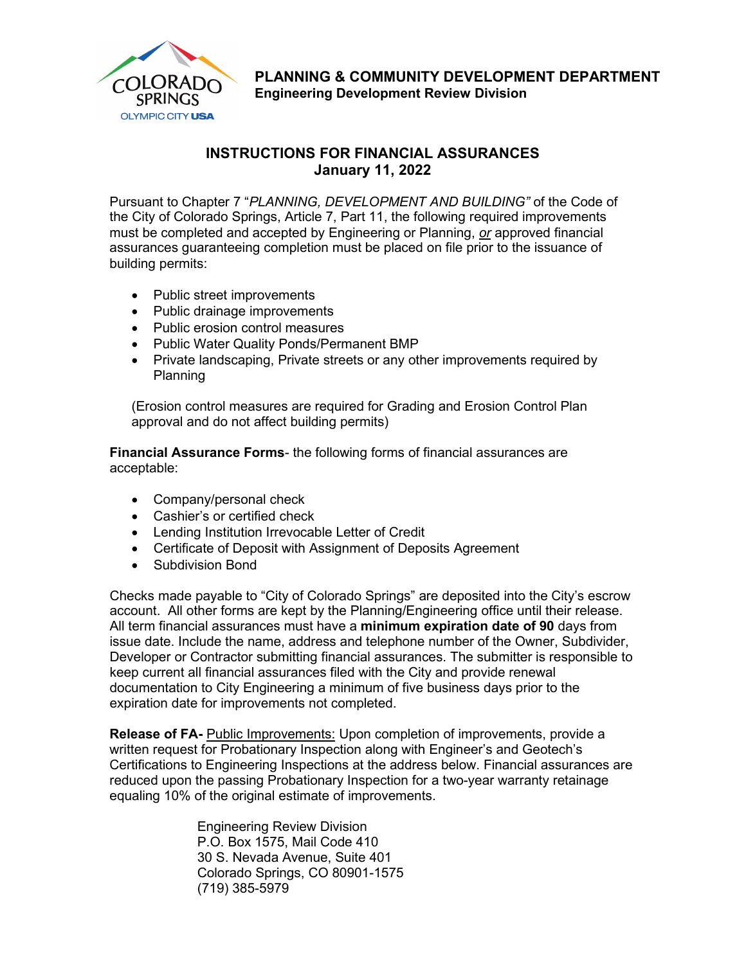

**PLANNING & COMMUNITY DEVELOPMENT DEPARTMENT Engineering Development Review Division**

## **INSTRUCTIONS FOR FINANCIAL ASSURANCES January 11, 2022**

Pursuant to Chapter 7 "*PLANNING, DEVELOPMENT AND BUILDING"* of the Code of the City of Colorado Springs, Article 7, Part 11, the following required improvements must be completed and accepted by Engineering or Planning, *or* approved financial assurances guaranteeing completion must be placed on file prior to the issuance of building permits:

- Public street improvements
- Public drainage improvements
- Public erosion control measures
- Public Water Quality Ponds/Permanent BMP
- Private landscaping, Private streets or any other improvements required by Planning

(Erosion control measures are required for Grading and Erosion Control Plan approval and do not affect building permits)

**Financial Assurance Forms**- the following forms of financial assurances are acceptable:

- Company/personal check
- Cashier's or certified check
- Lending Institution Irrevocable Letter of Credit
- Certificate of Deposit with Assignment of Deposits Agreement
- Subdivision Bond

Checks made payable to "City of Colorado Springs" are deposited into the City's escrow account. All other forms are kept by the Planning/Engineering office until their release. All term financial assurances must have a **minimum expiration date of 90** days from issue date. Include the name, address and telephone number of the Owner, Subdivider, Developer or Contractor submitting financial assurances. The submitter is responsible to keep current all financial assurances filed with the City and provide renewal documentation to City Engineering a minimum of five business days prior to the expiration date for improvements not completed.

**Release of FA-** Public Improvements: Upon completion of improvements, provide a written request for Probationary Inspection along with Engineer's and Geotech's Certifications to Engineering Inspections at the address below. Financial assurances are reduced upon the passing Probationary Inspection for a two-year warranty retainage equaling 10% of the original estimate of improvements.

> Engineering Review Division P.O. Box 1575, Mail Code 410 30 S. Nevada Avenue, Suite 401 Colorado Springs, CO 80901-1575 (719) 385-5979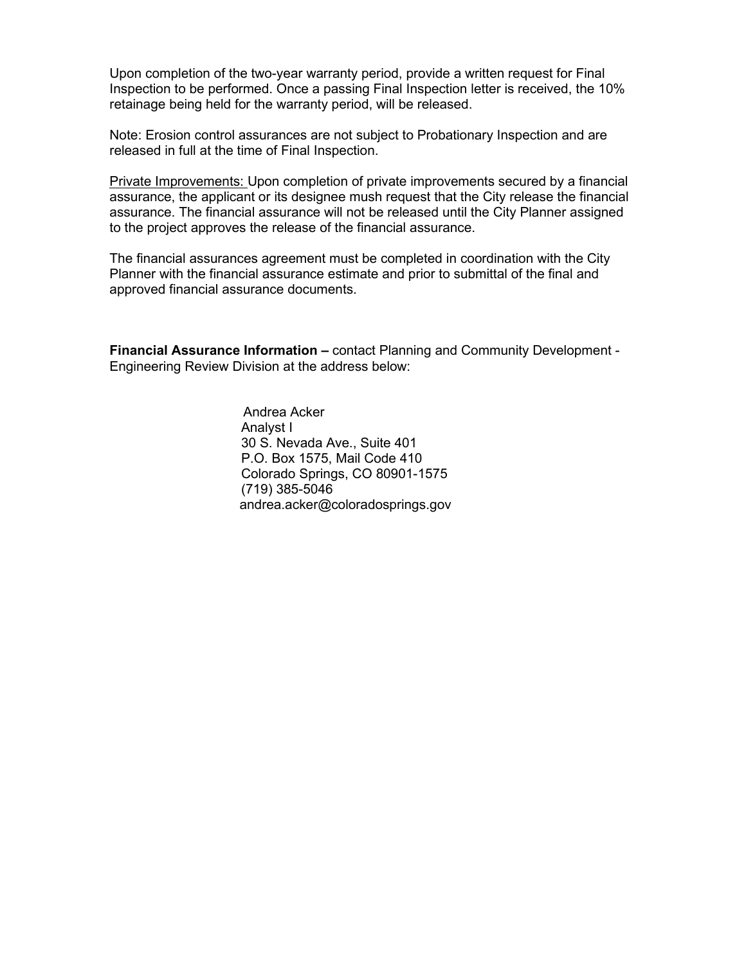Upon completion of the two-year warranty period, provide a written request for Final Inspection to be performed. Once a passing Final Inspection letter is received, the 10% retainage being held for the warranty period, will be released.

Note: Erosion control assurances are not subject to Probationary Inspection and are released in full at the time of Final Inspection.

Private Improvements: Upon completion of private improvements secured by a financial assurance, the applicant or its designee mush request that the City release the financial assurance. The financial assurance will not be released until the City Planner assigned to the project approves the release of the financial assurance.

The financial assurances agreement must be completed in coordination with the City Planner with the financial assurance estimate and prior to submittal of the final and approved financial assurance documents.

**Financial Assurance Information –** contact Planning and Community Development - Engineering Review Division at the address below:

> Andrea Acker Analyst I 30 S. Nevada Ave., Suite 401 P.O. Box 1575, Mail Code 410 Colorado Springs, CO 80901-1575 (719) 385-5046 andrea.acker@coloradosprings.gov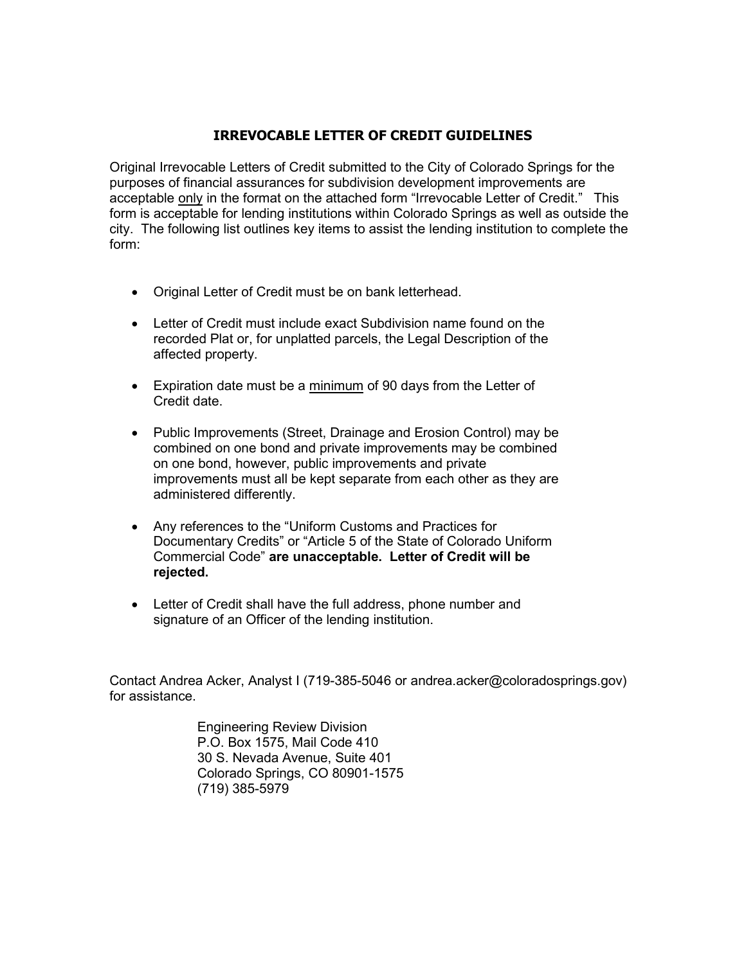### **IRREVOCABLE LETTER OF CREDIT GUIDELINES**

Original Irrevocable Letters of Credit submitted to the City of Colorado Springs for the purposes of financial assurances for subdivision development improvements are acceptable only in the format on the attached form "Irrevocable Letter of Credit." This form is acceptable for lending institutions within Colorado Springs as well as outside the city. The following list outlines key items to assist the lending institution to complete the form:

- Original Letter of Credit must be on bank letterhead.
- Letter of Credit must include exact Subdivision name found on the recorded Plat or, for unplatted parcels, the Legal Description of the affected property.
- Expiration date must be a minimum of 90 days from the Letter of Credit date.
- Public Improvements (Street, Drainage and Erosion Control) may be combined on one bond and private improvements may be combined on one bond, however, public improvements and private improvements must all be kept separate from each other as they are administered differently.
- Any references to the "Uniform Customs and Practices for Documentary Credits" or "Article 5 of the State of Colorado Uniform Commercial Code" **are unacceptable. Letter of Credit will be rejected.**
- Letter of Credit shall have the full address, phone number and signature of an Officer of the lending institution.

Contact Andrea Acker, Analyst I (719-385-5046 or andrea.acker@coloradosprings.gov) for assistance.

> Engineering Review Division P.O. Box 1575, Mail Code 410 30 S. Nevada Avenue, Suite 401 Colorado Springs, CO 80901-1575 (719) 385-5979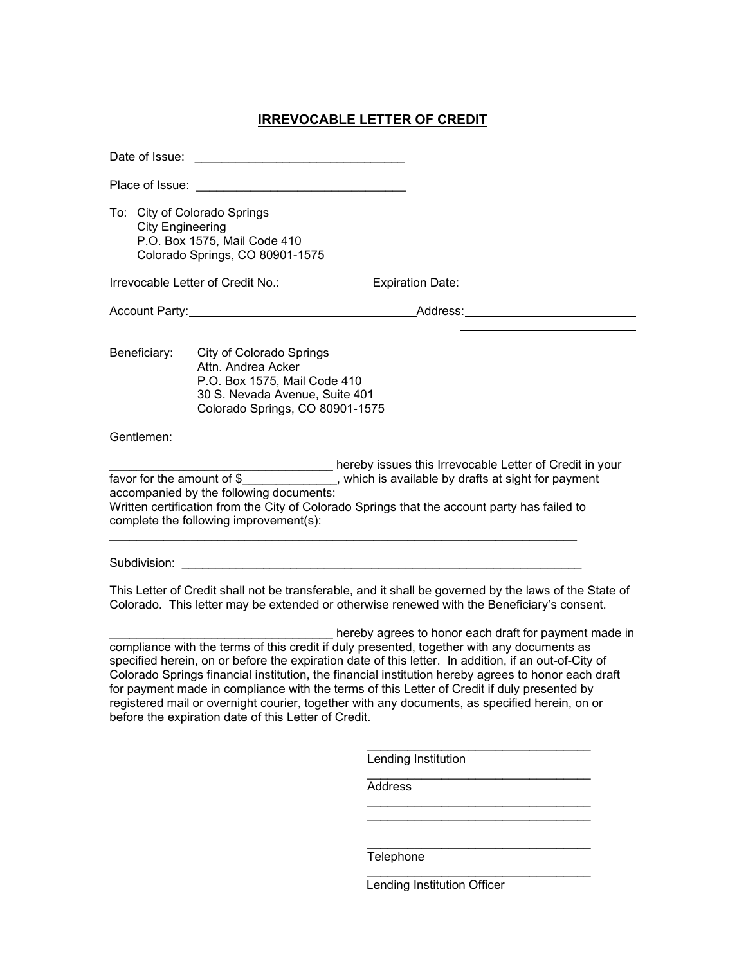# **IRREVOCABLE LETTER OF CREDIT**

| To: City of Colorado Springs<br><b>City Engineering</b>                                                                                                                                                                                                                                                                                                                                                                                                                                                                                                                                                                    | P.O. Box 1575, Mail Code 410<br>Colorado Springs, CO 80901-1575                                                                                            |                                                                                                                                                                                                                                                                                                                                   |  |  |
|----------------------------------------------------------------------------------------------------------------------------------------------------------------------------------------------------------------------------------------------------------------------------------------------------------------------------------------------------------------------------------------------------------------------------------------------------------------------------------------------------------------------------------------------------------------------------------------------------------------------------|------------------------------------------------------------------------------------------------------------------------------------------------------------|-----------------------------------------------------------------------------------------------------------------------------------------------------------------------------------------------------------------------------------------------------------------------------------------------------------------------------------|--|--|
|                                                                                                                                                                                                                                                                                                                                                                                                                                                                                                                                                                                                                            |                                                                                                                                                            | Irrevocable Letter of Credit No.: _______________Expiration Date: ______________                                                                                                                                                                                                                                                  |  |  |
|                                                                                                                                                                                                                                                                                                                                                                                                                                                                                                                                                                                                                            |                                                                                                                                                            |                                                                                                                                                                                                                                                                                                                                   |  |  |
| Beneficiary:                                                                                                                                                                                                                                                                                                                                                                                                                                                                                                                                                                                                               | <b>City of Colorado Springs</b><br>Attn. Andrea Acker<br>P.O. Box 1575, Mail Code 410<br>30 S. Nevada Avenue, Suite 401<br>Colorado Springs, CO 80901-1575 |                                                                                                                                                                                                                                                                                                                                   |  |  |
| Gentlemen:                                                                                                                                                                                                                                                                                                                                                                                                                                                                                                                                                                                                                 |                                                                                                                                                            |                                                                                                                                                                                                                                                                                                                                   |  |  |
| Subdivision:                                                                                                                                                                                                                                                                                                                                                                                                                                                                                                                                                                                                               | accompanied by the following documents:<br>complete the following improvement(s):                                                                          | favor for the amount of \$<br>Written certification from the City of Colorado Springs that the account party has failed to<br>This Letter of Credit shall not be transferable, and it shall be governed by the laws of the State of<br>Colorado. This letter may be extended or otherwise renewed with the Beneficiary's consent. |  |  |
| hereby agrees to honor each draft for payment made in<br>compliance with the terms of this credit if duly presented, together with any documents as<br>specified herein, on or before the expiration date of this letter. In addition, if an out-of-City of<br>Colorado Springs financial institution, the financial institution hereby agrees to honor each draft<br>for payment made in compliance with the terms of this Letter of Credit if duly presented by<br>registered mail or overnight courier, together with any documents, as specified herein, on or<br>before the expiration date of this Letter of Credit. |                                                                                                                                                            |                                                                                                                                                                                                                                                                                                                                   |  |  |
|                                                                                                                                                                                                                                                                                                                                                                                                                                                                                                                                                                                                                            |                                                                                                                                                            | Lending Institution                                                                                                                                                                                                                                                                                                               |  |  |
|                                                                                                                                                                                                                                                                                                                                                                                                                                                                                                                                                                                                                            |                                                                                                                                                            | Address                                                                                                                                                                                                                                                                                                                           |  |  |
|                                                                                                                                                                                                                                                                                                                                                                                                                                                                                                                                                                                                                            |                                                                                                                                                            |                                                                                                                                                                                                                                                                                                                                   |  |  |
|                                                                                                                                                                                                                                                                                                                                                                                                                                                                                                                                                                                                                            |                                                                                                                                                            |                                                                                                                                                                                                                                                                                                                                   |  |  |
|                                                                                                                                                                                                                                                                                                                                                                                                                                                                                                                                                                                                                            |                                                                                                                                                            | Telephone                                                                                                                                                                                                                                                                                                                         |  |  |

Lending Institution Officer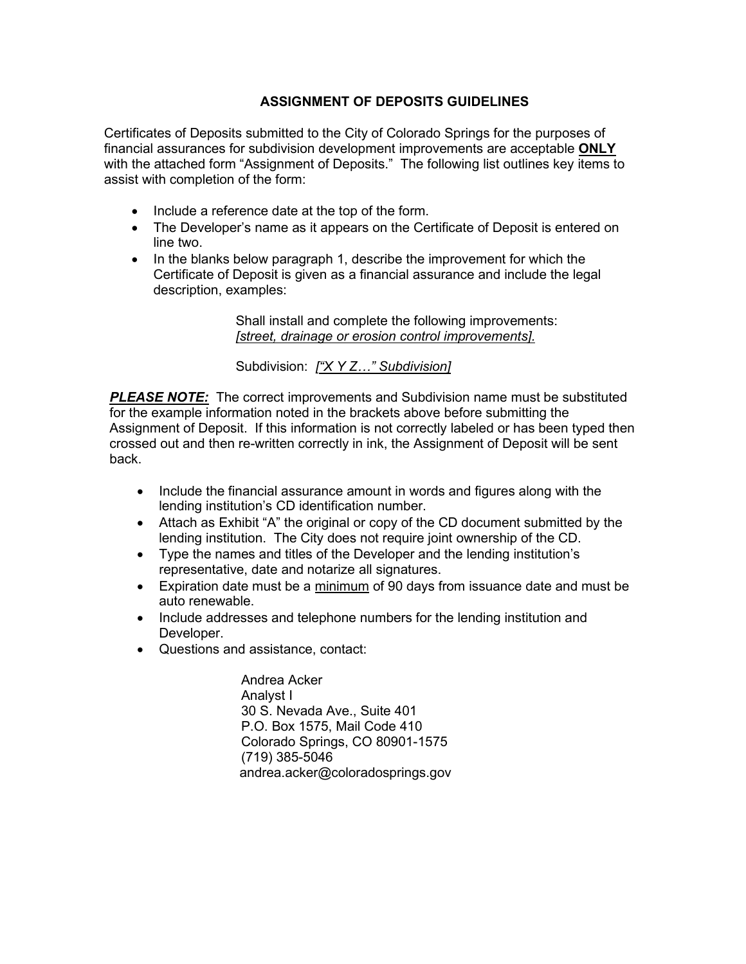### **ASSIGNMENT OF DEPOSITS GUIDELINES**

Certificates of Deposits submitted to the City of Colorado Springs for the purposes of financial assurances for subdivision development improvements are acceptable **ONLY** with the attached form "Assignment of Deposits." The following list outlines key items to assist with completion of the form:

- Include a reference date at the top of the form.
- The Developer's name as it appears on the Certificate of Deposit is entered on line two.
- In the blanks below paragraph 1, describe the improvement for which the Certificate of Deposit is given as a financial assurance and include the legal description, examples:

Shall install and complete the following improvements: *[street, drainage or erosion control improvements].* 

Subdivision: *["X Y Z…" Subdivision]* 

**PLEASE NOTE:** The correct improvements and Subdivision name must be substituted for the example information noted in the brackets above before submitting the Assignment of Deposit. If this information is not correctly labeled or has been typed then crossed out and then re-written correctly in ink, the Assignment of Deposit will be sent back.

- Include the financial assurance amount in words and figures along with the lending institution's CD identification number.
- Attach as Exhibit "A" the original or copy of the CD document submitted by the lending institution. The City does not require joint ownership of the CD.
- Type the names and titles of the Developer and the lending institution's representative, date and notarize all signatures.
- Expiration date must be a minimum of 90 days from issuance date and must be auto renewable.
- Include addresses and telephone numbers for the lending institution and Developer.
- Questions and assistance, contact:

 Andrea Acker Analyst I 30 S. Nevada Ave., Suite 401 P.O. Box 1575, Mail Code 410 Colorado Springs, CO 80901-1575 (719) 385-5046 andrea.acker@coloradosprings.gov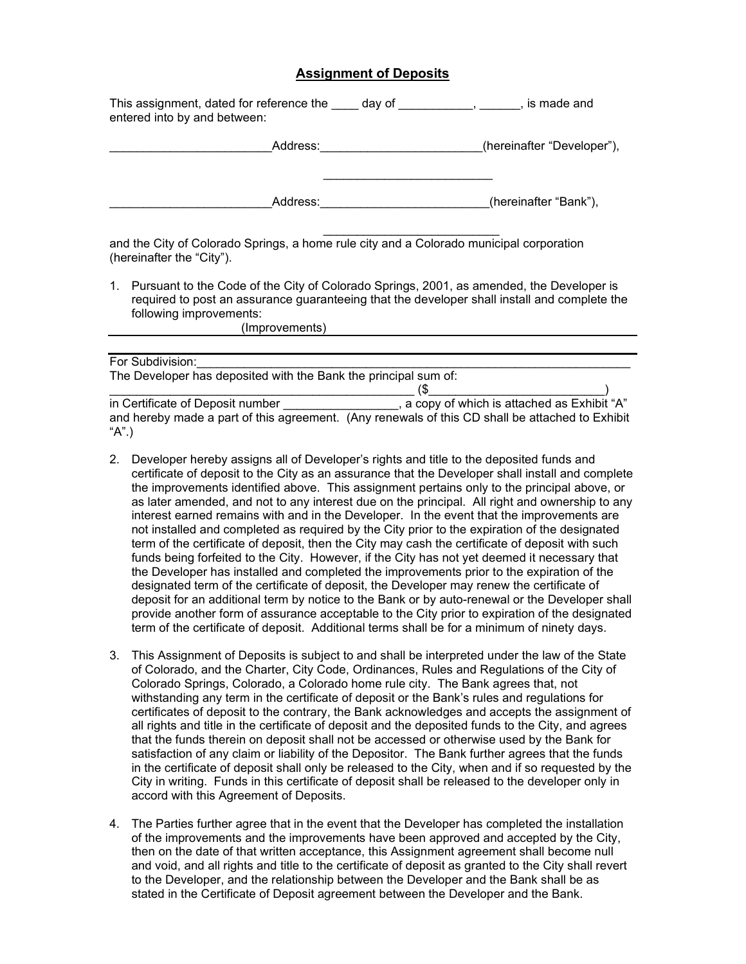#### **Assignment of Deposits**

| This assignment, dated for reference the<br>entered into by and between: | day of | is made and                |
|--------------------------------------------------------------------------|--------|----------------------------|
| Address:                                                                 |        | (hereinafter "Developer"), |
| Address:                                                                 |        | (hereinafter "Bank"),      |

and the City of Colorado Springs, a home rule city and a Colorado municipal corporation (hereinafter the "City").

1. Pursuant to the Code of the City of Colorado Springs, 2001, as amended, the Developer is required to post an assurance guaranteeing that the developer shall install and complete the following improvements:

\_\_\_\_\_\_\_\_\_\_\_\_\_\_\_\_\_\_\_\_\_\_\_\_\_\_

(Improvements)

| For Subdivision:                                                |                                                                                                 |  |
|-----------------------------------------------------------------|-------------------------------------------------------------------------------------------------|--|
| The Developer has deposited with the Bank the principal sum of: |                                                                                                 |  |
|                                                                 | 65                                                                                              |  |
| in Certificate of Deposit number                                | , a copy of which is attached as Exhibit "A"                                                    |  |
|                                                                 | and hereby made a part of this agreement. (Any renewals of this CD shall be attached to Exhibit |  |
| "A".)                                                           |                                                                                                 |  |

- 2. Developer hereby assigns all of Developer's rights and title to the deposited funds and certificate of deposit to the City as an assurance that the Developer shall install and complete the improvements identified above. This assignment pertains only to the principal above, or as later amended, and not to any interest due on the principal. All right and ownership to any interest earned remains with and in the Developer. In the event that the improvements are not installed and completed as required by the City prior to the expiration of the designated term of the certificate of deposit, then the City may cash the certificate of deposit with such funds being forfeited to the City. However, if the City has not yet deemed it necessary that the Developer has installed and completed the improvements prior to the expiration of the designated term of the certificate of deposit, the Developer may renew the certificate of deposit for an additional term by notice to the Bank or by auto-renewal or the Developer shall provide another form of assurance acceptable to the City prior to expiration of the designated term of the certificate of deposit. Additional terms shall be for a minimum of ninety days.
- 3. This Assignment of Deposits is subject to and shall be interpreted under the law of the State of Colorado, and the Charter, City Code, Ordinances, Rules and Regulations of the City of Colorado Springs, Colorado, a Colorado home rule city. The Bank agrees that, not withstanding any term in the certificate of deposit or the Bank's rules and regulations for certificates of deposit to the contrary, the Bank acknowledges and accepts the assignment of all rights and title in the certificate of deposit and the deposited funds to the City, and agrees that the funds therein on deposit shall not be accessed or otherwise used by the Bank for satisfaction of any claim or liability of the Depositor. The Bank further agrees that the funds in the certificate of deposit shall only be released to the City, when and if so requested by the City in writing. Funds in this certificate of deposit shall be released to the developer only in accord with this Agreement of Deposits.
- 4. The Parties further agree that in the event that the Developer has completed the installation of the improvements and the improvements have been approved and accepted by the City, then on the date of that written acceptance, this Assignment agreement shall become null and void, and all rights and title to the certificate of deposit as granted to the City shall revert to the Developer, and the relationship between the Developer and the Bank shall be as stated in the Certificate of Deposit agreement between the Developer and the Bank.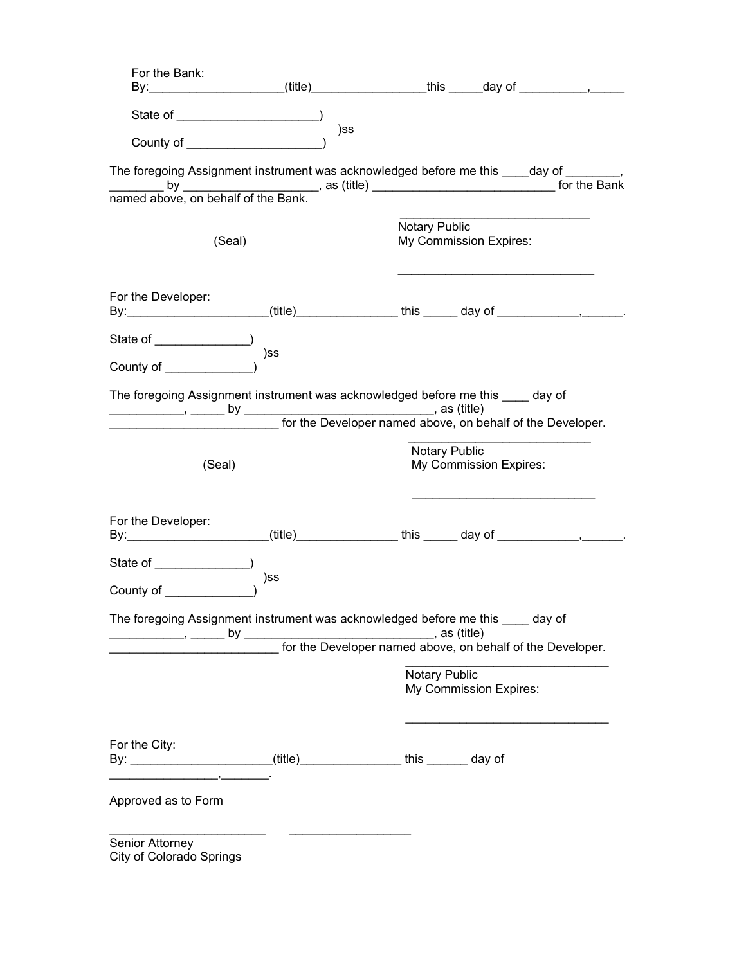| For the Bank:<br>By: _____________________(title)_______________this _____day of ________________                                                                                                                             |     |               |                                         |  |
|-------------------------------------------------------------------------------------------------------------------------------------------------------------------------------------------------------------------------------|-----|---------------|-----------------------------------------|--|
| County of ____________________                                                                                                                                                                                                | )ss |               |                                         |  |
| The foregoing Assignment instrument was acknowledged before me this ____day of ________,                                                                                                                                      |     |               |                                         |  |
| by by as (title) and the Bank of the Bank of the Bank of the Bank of the Bank of the Bank of the Bank of the Bank of the Bank of the Bank of the Bank of the Bank of the Bank of the Bank of the Bank of the Bank of the Bank |     |               |                                         |  |
| (Seal)                                                                                                                                                                                                                        |     | Notary Public | My Commission Expires:                  |  |
| For the Developer:<br>By:______________________(title)_______________ this ______ day of ________________________________                                                                                                     |     |               |                                         |  |
| County of (County of                                                                                                                                                                                                          | )ss |               |                                         |  |
| The foregoing Assignment instrument was acknowledged before me this ____ day of                                                                                                                                               |     |               |                                         |  |
| (Seal)                                                                                                                                                                                                                        |     |               | Notary Public<br>My Commission Expires: |  |
| For the Developer:<br>By:_____________________(title)_______________this ______ day of ________________                                                                                                                       |     |               |                                         |  |
|                                                                                                                                                                                                                               |     |               |                                         |  |
| County of __________                                                                                                                                                                                                          | )ss |               |                                         |  |
| The foregoing Assignment instrument was acknowledged before me this _____ day of                                                                                                                                              |     |               |                                         |  |
|                                                                                                                                                                                                                               |     | Notary Public | My Commission Expires:                  |  |
| For the City:<br>By: _______________________(title)_______________ this ______ day of                                                                                                                                         |     |               |                                         |  |
| Approved as to Form                                                                                                                                                                                                           |     |               |                                         |  |
| Senior Attorney<br><b>City of Colorado Springs</b>                                                                                                                                                                            |     |               |                                         |  |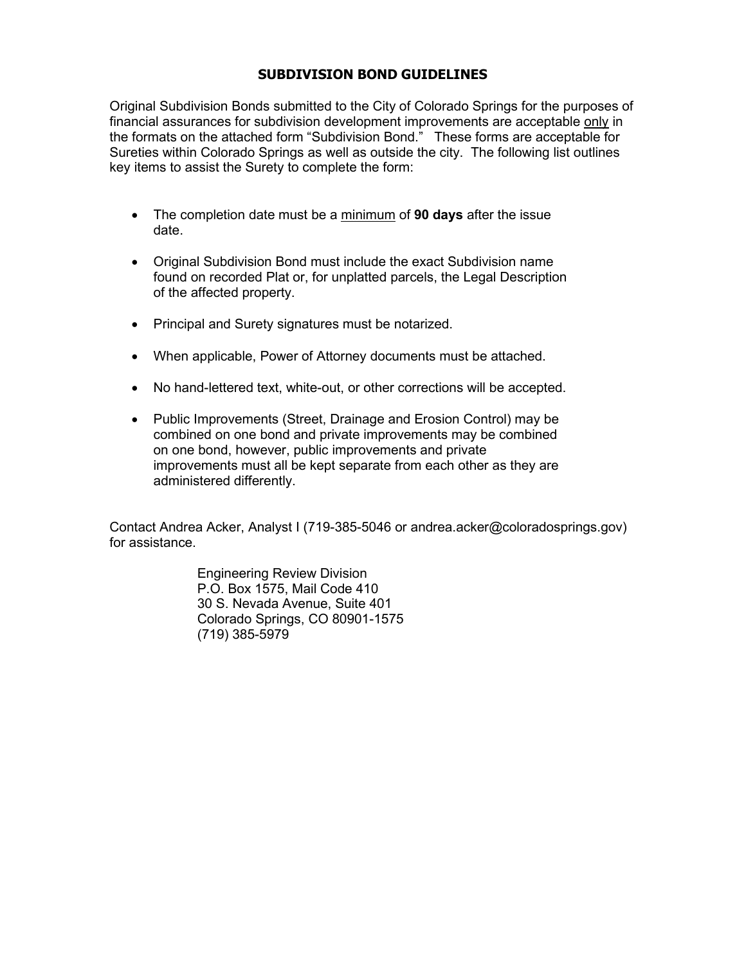### **SUBDIVISION BOND GUIDELINES**

Original Subdivision Bonds submitted to the City of Colorado Springs for the purposes of financial assurances for subdivision development improvements are acceptable only in the formats on the attached form "Subdivision Bond." These forms are acceptable for Sureties within Colorado Springs as well as outside the city. The following list outlines key items to assist the Surety to complete the form:

- The completion date must be a minimum of **90 days** after the issue date.
- Original Subdivision Bond must include the exact Subdivision name found on recorded Plat or, for unplatted parcels, the Legal Description of the affected property.
- Principal and Surety signatures must be notarized.
- When applicable, Power of Attorney documents must be attached.
- No hand-lettered text, white-out, or other corrections will be accepted.
- Public Improvements (Street, Drainage and Erosion Control) may be combined on one bond and private improvements may be combined on one bond, however, public improvements and private improvements must all be kept separate from each other as they are administered differently.

Contact Andrea Acker, Analyst I (719-385-5046 or andrea.acker@coloradosprings.gov) for assistance.

> Engineering Review Division P.O. Box 1575, Mail Code 410 30 S. Nevada Avenue, Suite 401 Colorado Springs, CO 80901-1575 (719) 385-5979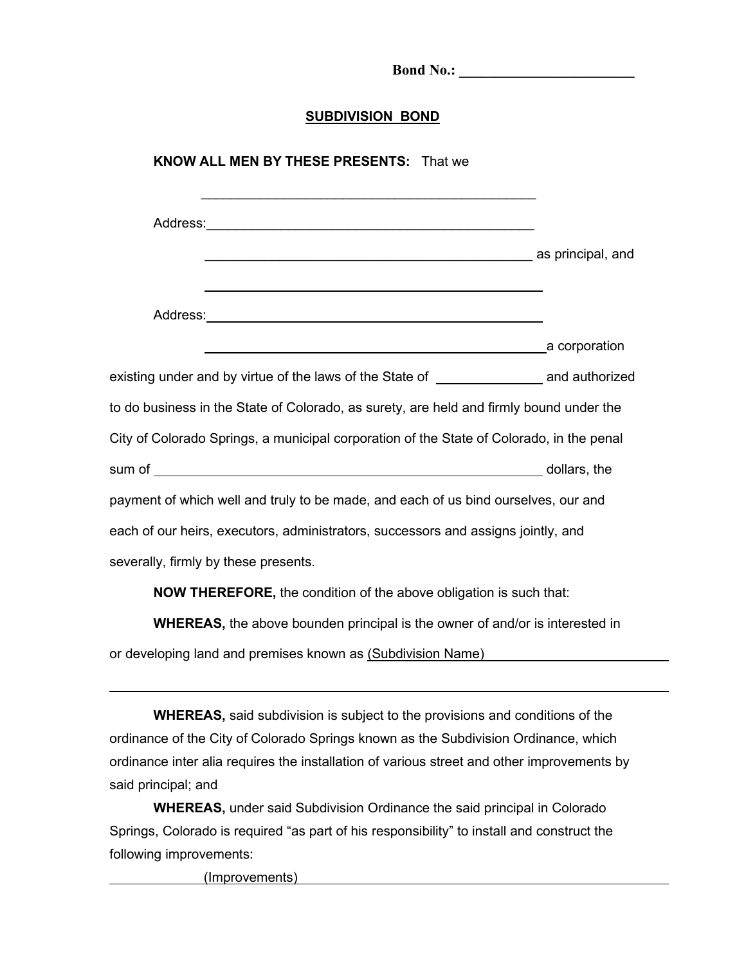**SUBDIVISION BOND KNOW ALL MEN BY THESE PRESENTS:** That we  $\mathcal{L}_\text{max}$  , and the contract of the contract of the contract of the contract of the contract of the contract of the contract of the contract of the contract of the contract of the contract of the contract of the contr Address: external as principal, and Address: a corporation existing under and by virtue of the laws of the State of and authorized to do business in the State of Colorado, as surety, are held and firmly bound under the City of Colorado Springs, a municipal corporation of the State of Colorado, in the penal sum of dollars, the dollars, the dollars, the dollars, the dollars, the dollars, the dollars, the dollars, the payment of which well and truly to be made, and each of us bind ourselves, our and each of our heirs, executors, administrators, successors and assigns jointly, and severally, firmly by these presents.

**Bond No.:** *Bond No.:* $\blacksquare$ 

**NOW THEREFORE,** the condition of the above obligation is such that:

**WHEREAS,** the above bounden principal is the owner of and/or is interested in or developing land and premises known as (Subdivision Name)

**WHEREAS,** said subdivision is subject to the provisions and conditions of the ordinance of the City of Colorado Springs known as the Subdivision Ordinance, which ordinance inter alia requires the installation of various street and other improvements by said principal; and

**WHEREAS,** under said Subdivision Ordinance the said principal in Colorado Springs, Colorado is required "as part of his responsibility" to install and construct the following improvements:

(Improvements)

 $\overline{a}$